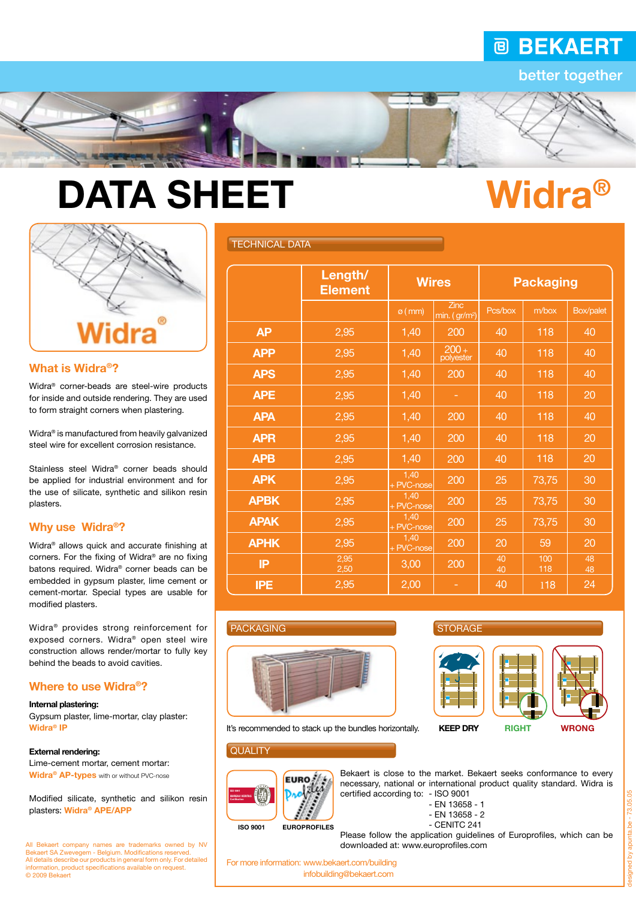## **@ BEKAERT**

better together

# DATA SHEET Widra<sup>®</sup>



#### What is Widra®?

Widra® corner-beads are steel-wire products for inside and outside rendering. They are used to form straight corners when plastering.

Widra® is manufactured from heavily galvanized steel wire for excellent corrosion resistance.

Stainless steel Widra® corner beads should be applied for industrial environment and for the use of silicate, synthetic and silikon resin plasters.

#### Why use Widra®?

Widra® allows quick and accurate finishing at corners. For the fixing of Widra® are no fixing batons required. Widra® corner beads can be embedded in gypsum plaster, lime cement or cement-mortar. Special types are usable for modified plasters.

Widra® provides strong reinforcement for exposed corners. Widra® open steel wire construction allows render/mortar to fully key behind the beads to avoid cavities.

#### Where to use Widra®?

#### Internal plastering:

Gypsum plaster, lime-mortar, clay plaster: Widra® IP

#### External rendering:

Lime-cement mortar, cement mortar: Widra<sup>®</sup> AP-types with or without PVC-nose

Modified silicate, synthetic and silikon resin plasters: Widra® APE/APP

All Bekaert company names are trademarks owned by NV Bekaert SA Zwevegem - Belgium. Modifications reserved. All details describe our products in general form only. For detailed information, product specifications available on request. © 2009 Bekaert

#### TECHNICAL DATA

|             | Length/<br><b>Element</b> | <b>Wires</b>       |                                          | <b>Packaging</b> |            |           |
|-------------|---------------------------|--------------------|------------------------------------------|------------------|------------|-----------|
|             |                           | $\varphi$ (mm)     | <b>Zinc</b><br>min. (gr/m <sup>2</sup> ) | Pcs/box          | m/box      | Box/palet |
| <b>AP</b>   | 2,95                      | 1,40               | 200                                      | 40               | 118        | 40        |
| <b>APP</b>  | 2,95                      | 1,40               | $200 +$<br>polyester                     | 40               | 118        | 40        |
| <b>APS</b>  | 2,95                      | 1,40               | 200                                      | 40               | 118        | 40        |
| <b>APE</b>  | 2,95                      | 1,40               | ۰                                        | 40               | 118        | 20        |
| <b>APA</b>  | 2,95                      | 1,40               | 200                                      | 40               | 118        | 40        |
| <b>APR</b>  | 2,95                      | 1,40               | 200                                      | 40               | 118        | 20        |
| <b>APB</b>  | 2,95                      | 1,40               | 200                                      | 40               | 118        | 20        |
| <b>APK</b>  | 2,95                      | 1,40<br>+ PVC-nose | 200                                      | 25               | 73,75      | 30        |
| <b>APBK</b> | 2,95                      | 1,40<br>+ PVC-nose | 200                                      | 25               | 73,75      | 30        |
| <b>APAK</b> | 2,95                      | 1,40<br>+ PVC-nose | 200                                      | 25               | 73,75      | 30        |
| <b>APHK</b> | 2,95                      | 1,40<br>+ PVC-nose | 200                                      | 20               | 59         | 20        |
| IP          | 2,95<br>2,50              | 3,00               | 200                                      | 40<br>40         | 100<br>118 | 48<br>48  |
| <b>IPE</b>  | 2,95                      | 2,00               |                                          | 40               | 118        | 24        |

#### PACKAGING



It's recommended to stack up the bundles horizontally. **KEEP DRY** RIGHT WRONG

#### **QUALITY**



Bekaert is close to the market. Bekaert seeks conformance to every necessary, national or international product quality standard. Widra is

- 
- EN 13658 1
- EN 13658 2
- CENITC 241

Please follow the application guidelines of Europrofiles, which can be downloaded at: www.europrofiles.com

For more information: www.bekaert.com/building infobuilding@bekaert.com

**STORAGE** 





73.05.05 designed by apunta.be - 73.05.05 gned by apunta.be -